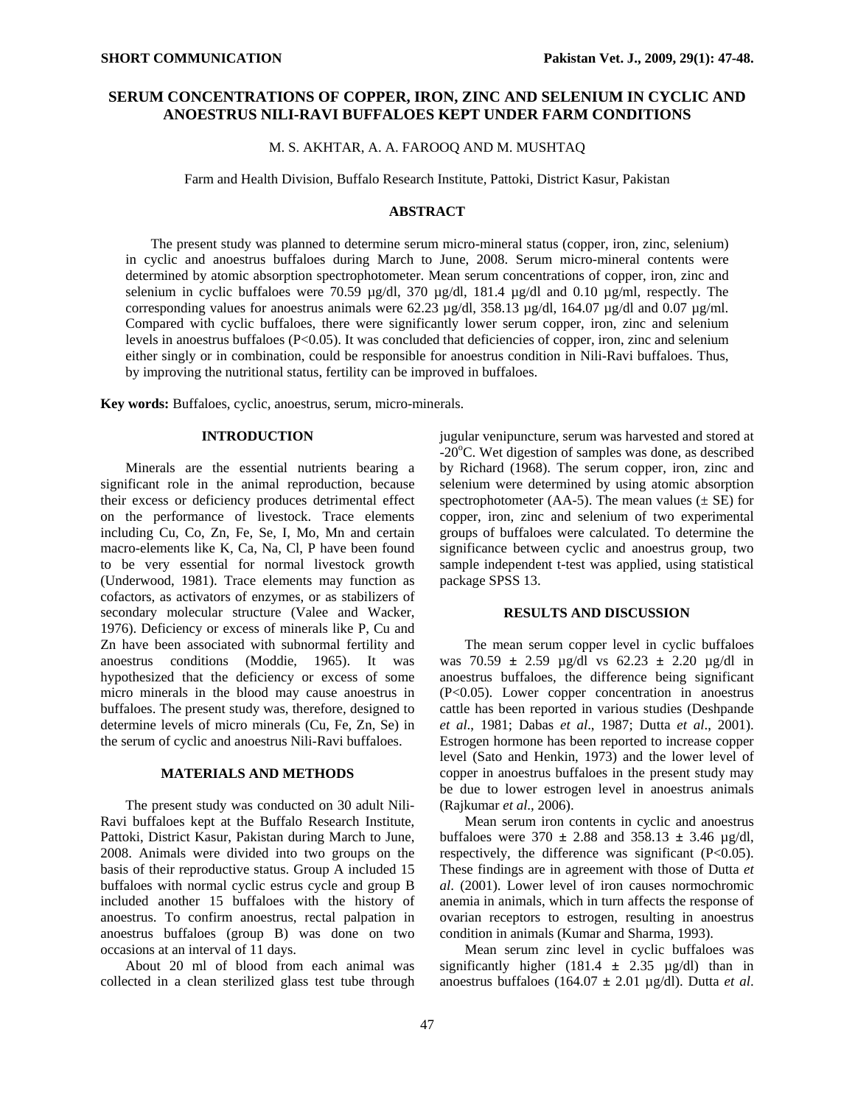# **SERUM CONCENTRATIONS OF COPPER, IRON, ZINC AND SELENIUM IN CYCLIC AND ANOESTRUS NILI-RAVI BUFFALOES KEPT UNDER FARM CONDITIONS**

M. S. AKHTAR, A. A. FAROOQ AND M. MUSHTAQ

Farm and Health Division, Buffalo Research Institute, Pattoki, District Kasur, Pakistan

### **ABSTRACT**

The present study was planned to determine serum micro-mineral status (copper, iron, zinc, selenium) in cyclic and anoestrus buffaloes during March to June, 2008. Serum micro-mineral contents were determined by atomic absorption spectrophotometer. Mean serum concentrations of copper, iron, zinc and selenium in cyclic buffaloes were 70.59  $\mu$ g/dl, 370  $\mu$ g/dl, 181.4  $\mu$ g/dl and 0.10  $\mu$ g/ml, respectly. The corresponding values for anoestrus animals were  $62.23 \mu$ g/dl,  $358.13 \mu$ g/dl,  $164.07 \mu$ g/dl and 0.07  $\mu$ g/ml. Compared with cyclic buffaloes, there were significantly lower serum copper, iron, zinc and selenium levels in anoestrus buffaloes (P<0.05). It was concluded that deficiencies of copper, iron, zinc and selenium either singly or in combination, could be responsible for anoestrus condition in Nili-Ravi buffaloes. Thus, by improving the nutritional status, fertility can be improved in buffaloes.

**Key words:** Buffaloes, cyclic, anoestrus, serum, micro-minerals.

### **INTRODUCTION**

Minerals are the essential nutrients bearing a significant role in the animal reproduction, because their excess or deficiency produces detrimental effect on the performance of livestock. Trace elements including Cu, Co, Zn, Fe, Se, I, Mo, Mn and certain macro-elements like K, Ca, Na, Cl, P have been found to be very essential for normal livestock growth (Underwood, 1981). Trace elements may function as cofactors, as activators of enzymes, or as stabilizers of secondary molecular structure (Valee and Wacker, 1976). Deficiency or excess of minerals like P, Cu and Zn have been associated with subnormal fertility and anoestrus conditions (Moddie, 1965). It was hypothesized that the deficiency or excess of some micro minerals in the blood may cause anoestrus in buffaloes. The present study was, therefore, designed to determine levels of micro minerals (Cu, Fe, Zn, Se) in the serum of cyclic and anoestrus Nili-Ravi buffaloes.

### **MATERIALS AND METHODS**

The present study was conducted on 30 adult Nili-Ravi buffaloes kept at the Buffalo Research Institute, Pattoki, District Kasur, Pakistan during March to June, 2008. Animals were divided into two groups on the basis of their reproductive status. Group A included 15 buffaloes with normal cyclic estrus cycle and group B included another 15 buffaloes with the history of anoestrus. To confirm anoestrus, rectal palpation in anoestrus buffaloes (group B) was done on two occasions at an interval of 11 days.

About 20 ml of blood from each animal was collected in a clean sterilized glass test tube through

jugular venipuncture, serum was harvested and stored at  $-20^{\circ}$ C. Wet digestion of samples was done, as described by Richard (1968). The serum copper, iron, zinc and selenium were determined by using atomic absorption spectrophotometer (AA-5). The mean values  $(\pm SE)$  for copper, iron, zinc and selenium of two experimental groups of buffaloes were calculated. To determine the significance between cyclic and anoestrus group, two sample independent t-test was applied, using statistical package SPSS 13.

### **RESULTS AND DISCUSSION**

The mean serum copper level in cyclic buffaloes was 70.59 **±** 2.59 µg/dl vs 62.23 **±** 2.20 µg/dl in anoestrus buffaloes, the difference being significant (P<0.05). Lower copper concentration in anoestrus cattle has been reported in various studies (Deshpande *et al*., 1981; Dabas *et al*., 1987; Dutta *et al*., 2001). Estrogen hormone has been reported to increase copper level (Sato and Henkin, 1973) and the lower level of copper in anoestrus buffaloes in the present study may be due to lower estrogen level in anoestrus animals (Rajkumar *et al*., 2006).

Mean serum iron contents in cyclic and anoestrus buffaloes were 370 **±** 2.88 and 358.13 **±** 3.46 µg/dl, respectively, the difference was significant  $(P<0.05)$ . These findings are in agreement with those of Dutta *et al*. (2001). Lower level of iron causes normochromic anemia in animals, which in turn affects the response of ovarian receptors to estrogen, resulting in anoestrus condition in animals (Kumar and Sharma, 1993).

Mean serum zinc level in cyclic buffaloes was significantly higher  $(181.4 \pm 2.35 \mu g/d)$  than in anoestrus buffaloes (164.07 **±** 2.01 µg/dl). Dutta *et al*.